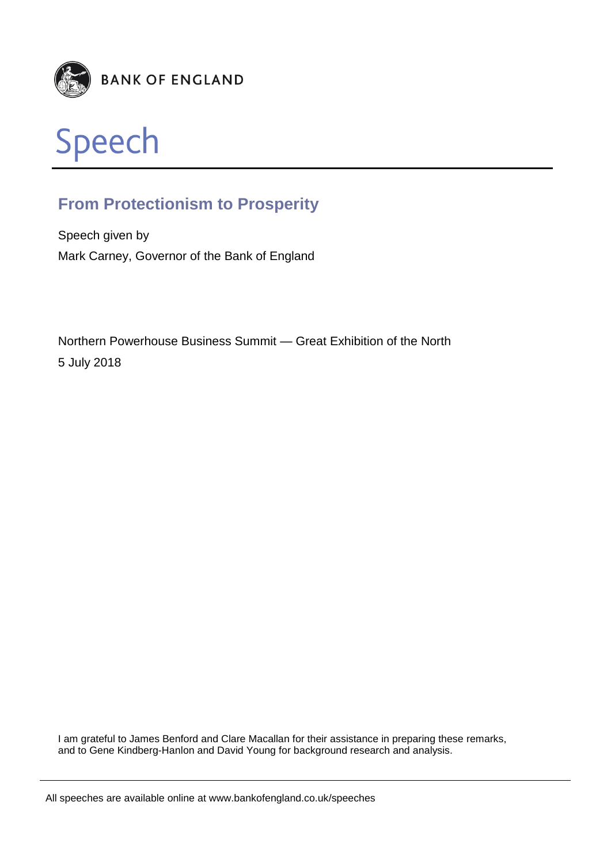



# **From Protectionism to Prosperity**

Speech given by Mark Carney, Governor of the Bank of England

Northern Powerhouse Business Summit — Great Exhibition of the North 5 July 2018

I am grateful to James Benford and Clare Macallan for their assistance in preparing these remarks, and to Gene Kindberg-Hanlon and David Young for background research and analysis.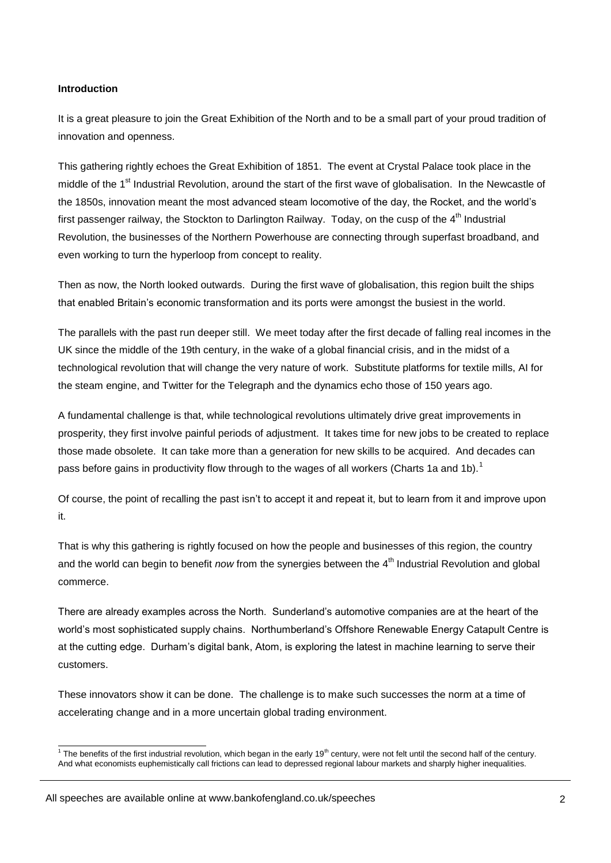# **Introduction**

It is a great pleasure to join the Great Exhibition of the North and to be a small part of your proud tradition of innovation and openness.

This gathering rightly echoes the Great Exhibition of 1851. The event at Crystal Palace took place in the middle of the 1<sup>st</sup> Industrial Revolution, around the start of the first wave of globalisation. In the Newcastle of the 1850s, innovation meant the most advanced steam locomotive of the day, the Rocket, and the world's first passenger railway, the Stockton to Darlington Railway. Today, on the cusp of the 4<sup>th</sup> Industrial Revolution, the businesses of the Northern Powerhouse are connecting through superfast broadband, and even working to turn the hyperloop from concept to reality.

Then as now, the North looked outwards. During the first wave of globalisation, this region built the ships that enabled Britain's economic transformation and its ports were amongst the busiest in the world.

The parallels with the past run deeper still. We meet today after the first decade of falling real incomes in the UK since the middle of the 19th century, in the wake of a global financial crisis, and in the midst of a technological revolution that will change the very nature of work. Substitute platforms for textile mills, AI for the steam engine, and Twitter for the Telegraph and the dynamics echo those of 150 years ago.

A fundamental challenge is that, while technological revolutions ultimately drive great improvements in prosperity, they first involve painful periods of adjustment. It takes time for new jobs to be created to replace those made obsolete. It can take more than a generation for new skills to be acquired. And decades can pass before gains in productivity flow through to the wages of all workers (Charts 1a and 1b).<sup>1</sup>

Of course, the point of recalling the past isn't to accept it and repeat it, but to learn from it and improve upon it.

That is why this gathering is rightly focused on how the people and businesses of this region, the country and the world can begin to benefit *now* from the synergies between the 4<sup>th</sup> Industrial Revolution and global commerce.

There are already examples across the North. Sunderland's automotive companies are at the heart of the world's most sophisticated supply chains. Northumberland's Offshore Renewable Energy Catapult Centre is at the cutting edge. Durham's digital bank, Atom, is exploring the latest in machine learning to serve their customers.

These innovators show it can be done. The challenge is to make such successes the norm at a time of accelerating change and in a more uncertain global trading environment.

The benefits of the first industrial revolution, which began in the early 19<sup>th</sup> century, were not felt until the second half of the century. And what economists euphemistically call frictions can lead to depressed regional labour markets and sharply higher inequalities.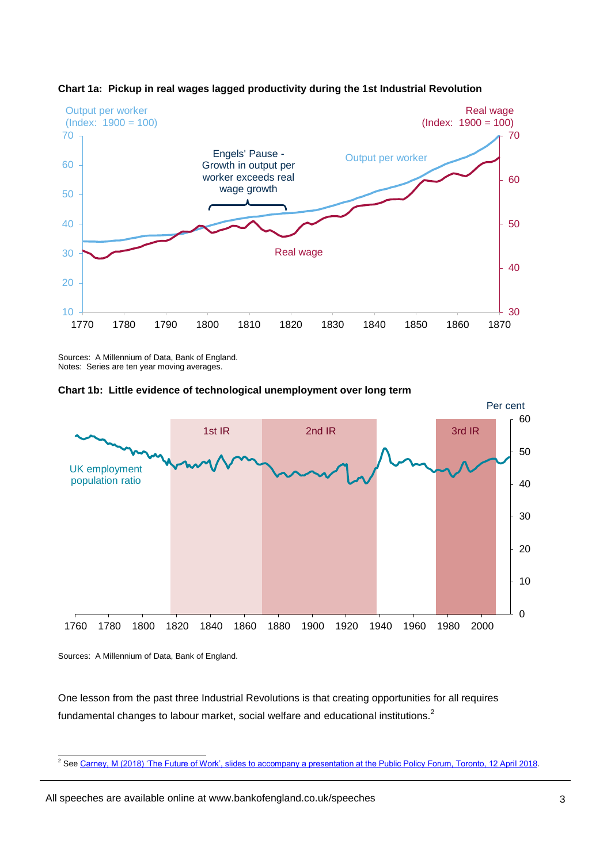



Sources: A Millennium of Data, Bank of England. Notes: Series are ten year moving averages.





Sources: A Millennium of Data, Bank of England.

One lesson from the past three Industrial Revolutions is that creating opportunities for all requires fundamental changes to labour market, social welfare and educational institutions.<sup>2</sup>

<sup>2&</sup>lt;br>2 Se[e Carney, M \(2018\) 'The Future of Work', slides to accompany a presentation at the Public Policy Forum, Toronto, 12 April 2018.](https://www.bankofengland.co.uk/-/media/boe/files/speech/2018/slides-for-mark-carney-speech-at-public-policy-forum-toronto.pdf?la=en&hash=5F46D0A1D150B85A231ADA4DBCAE019B70302404)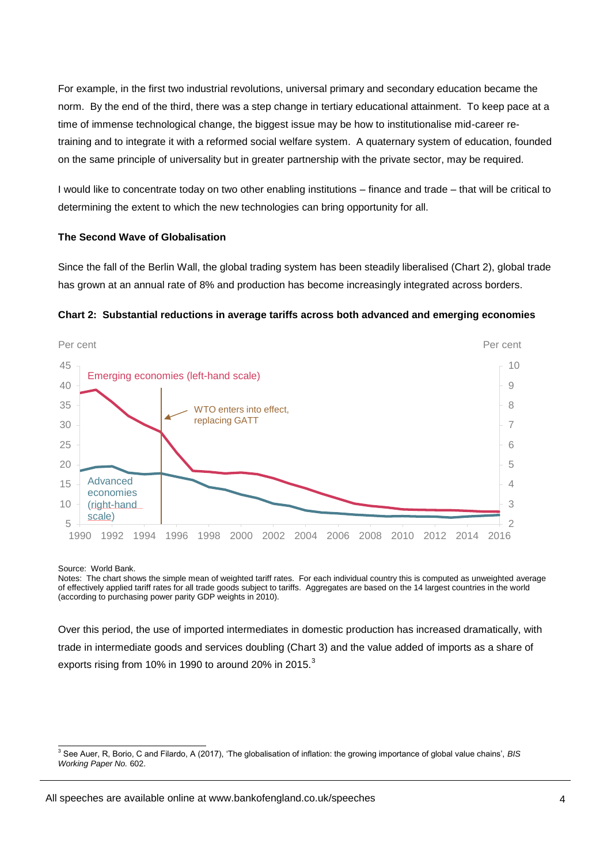For example, in the first two industrial revolutions, universal primary and secondary education became the norm. By the end of the third, there was a step change in tertiary educational attainment. To keep pace at a time of immense technological change, the biggest issue may be how to institutionalise mid-career retraining and to integrate it with a reformed social welfare system. A quaternary system of education, founded on the same principle of universality but in greater partnership with the private sector, may be required.

I would like to concentrate today on two other enabling institutions – finance and trade – that will be critical to determining the extent to which the new technologies can bring opportunity for all.

#### **The Second Wave of Globalisation**

Since the fall of the Berlin Wall, the global trading system has been steadily liberalised (Chart 2), global trade has grown at an annual rate of 8% and production has become increasingly integrated across borders.



#### **Chart 2: Substantial reductions in average tariffs across both advanced and emerging economies**

Source: World Bank.

-

Notes: The chart shows the simple mean of weighted tariff rates. For each individual country this is computed as unweighted average of effectively applied tariff rates for all trade goods subject to tariffs. Aggregates are based on the 14 largest countries in the world (according to purchasing power parity GDP weights in 2010).

Over this period, the use of imported intermediates in domestic production has increased dramatically, with trade in intermediate goods and services doubling (Chart 3) and the value added of imports as a share of exports rising from 10% in 1990 to around 20% in 2015.<sup>3</sup>

<sup>3</sup> See Auer, R, Borio, C and Filardo, A (2017), 'The globalisation of inflation: the growing importance of global value chains', *BIS Working Paper No.* 602.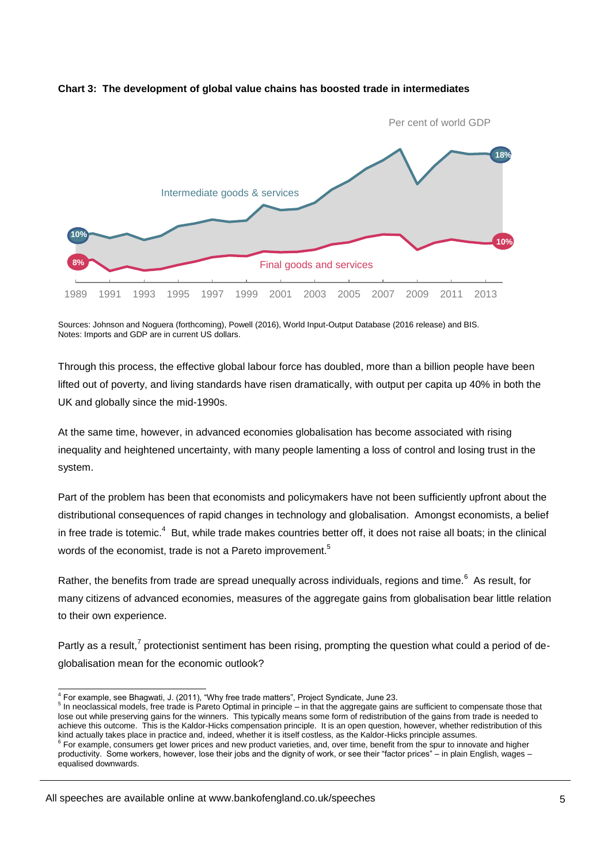

#### **Chart 3: The development of global value chains has boosted trade in intermediates**

Sources: Johnson and Noguera (forthcoming), Powell (2016), World Input-Output Database (2016 release) and BIS. Notes: Imports and GDP are in current US dollars.

Through this process, the effective global labour force has doubled, more than a billion people have been lifted out of poverty, and living standards have risen dramatically, with output per capita up 40% in both the UK and globally since the mid-1990s.

At the same time, however, in advanced economies globalisation has become associated with rising inequality and heightened uncertainty, with many people lamenting a loss of control and losing trust in the system.

Part of the problem has been that economists and policymakers have not been sufficiently upfront about the distributional consequences of rapid changes in technology and globalisation. Amongst economists, a belief in free trade is totemic.<sup>4</sup> But, while trade makes countries better off, it does not raise all boats; in the clinical words of the economist, trade is not a Pareto improvement.<sup>5</sup>

Rather, the benefits from trade are spread unequally across individuals, regions and time.<sup>6</sup> As result, for many citizens of advanced economies, measures of the aggregate gains from globalisation bear little relation to their own experience.

Partly as a result,<sup>7</sup> protectionist sentiment has been rising, prompting the question what could a period of deglobalisation mean for the economic outlook?

 4 For example, see Bhagwati, J. (2011), "Why free trade matters", Project Syndicate, June 23.

<sup>&</sup>lt;sup>5</sup> In neoclassical models, free trade is Pareto Optimal in principle – in that the aggregate gains are sufficient to compensate those that lose out while preserving gains for the winners. This typically means some form of redistribution of the gains from trade is needed to achieve this outcome. This is the Kaldor-Hicks compensation principle. It is an open question, however, whether redistribution of this kind actually takes place in practice and, indeed, whether it is itself costless, as the Kaldor-Hicks principle assumes.<br><sup>6</sup> Fer example, consumers ast lower prices and now product variation, and, over time, bangfit from t

For example, consumers get lower prices and new product varieties, and, over time, benefit from the spur to innovate and higher productivity. Some workers, however, lose their jobs and the dignity of work, or see their "factor prices" – in plain English, wages – equalised downwards.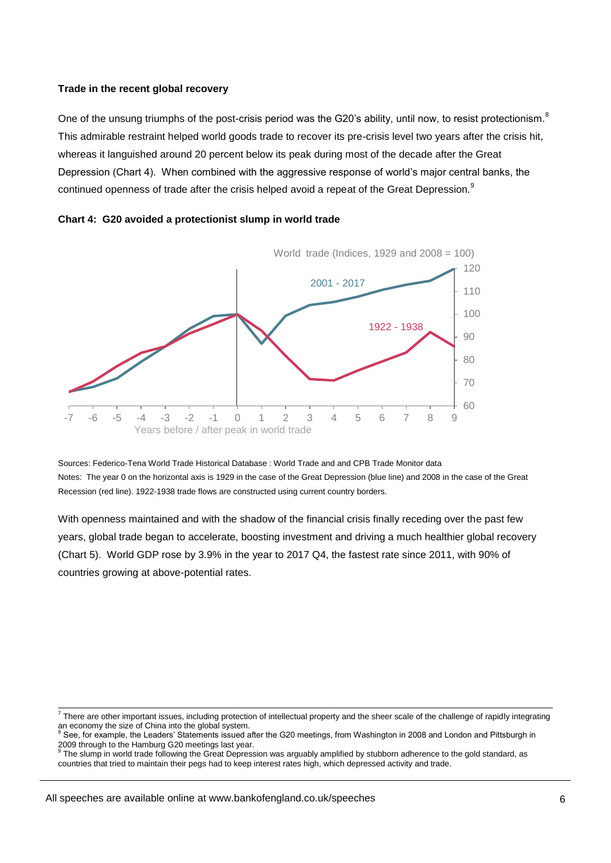#### **Trade in the recent global recovery**

One of the unsung triumphs of the post-crisis period was the G20's ability, until now, to resist protectionism. $8$ This admirable restraint helped world goods trade to recover its pre-crisis level two years after the crisis hit, whereas it languished around 20 percent below its peak during most of the decade after the Great Depression (Chart 4). When combined with the aggressive response of world's major central banks, the continued openness of trade after the crisis helped avoid a repeat of the Great Depression. $^9$ 





Sources: Federico-Tena World Trade Historical Database : World Trade and and CPB Trade Monitor data Notes: The year 0 on the horizontal axis is 1929 in the case of the Great Depression (blue line) and 2008 in the case of the Great Recession (red line). 1922-1938 trade flows are constructed using current country borders.

With openness maintained and with the shadow of the financial crisis finally receding over the past few years, global trade began to accelerate, boosting investment and driving a much healthier global recovery (Chart 5). World GDP rose by 3.9% in the year to 2017 Q4, the fastest rate since 2011, with 90% of countries growing at above-potential rates.

<sup>-&</sup>lt;br><sup>7</sup> There are other important issues, including protection of intellectual property and the sheer scale of the challenge of rapidly integrating an economy the size of China into the global system.<br><sup>8</sup> See, for example, the Leaders' Statements issued after the G20 meetings, from Washington in 2008 and London and Pittsburgh in

<sup>2009</sup> through to the Hamburg G20 meetings last year. 9

The slump in world trade following the Great Depression was arguably amplified by stubborn adherence to the gold standard, as countries that tried to maintain their pegs had to keep interest rates high, which depressed activity and trade.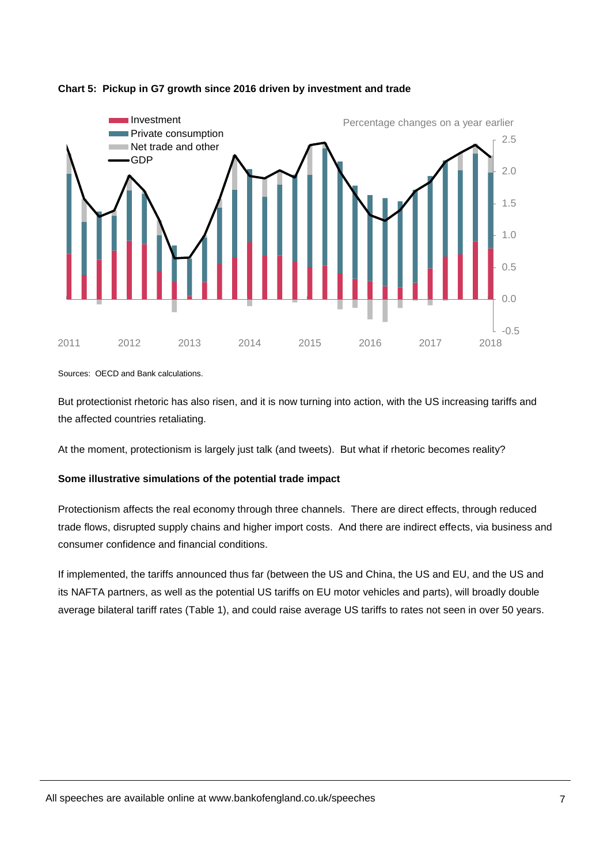

## **Chart 5: Pickup in G7 growth since 2016 driven by investment and trade**

Sources: OECD and Bank calculations.

But protectionist rhetoric has also risen, and it is now turning into action, with the US increasing tariffs and the affected countries retaliating.

At the moment, protectionism is largely just talk (and tweets). But what if rhetoric becomes reality?

# **Some illustrative simulations of the potential trade impact**

Protectionism affects the real economy through three channels. There are direct effects, through reduced trade flows, disrupted supply chains and higher import costs. And there are indirect effects, via business and consumer confidence and financial conditions.

If implemented, the tariffs announced thus far (between the US and China, the US and EU, and the US and its NAFTA partners, as well as the potential US tariffs on EU motor vehicles and parts), will broadly double average bilateral tariff rates (Table 1), and could raise average US tariffs to rates not seen in over 50 years.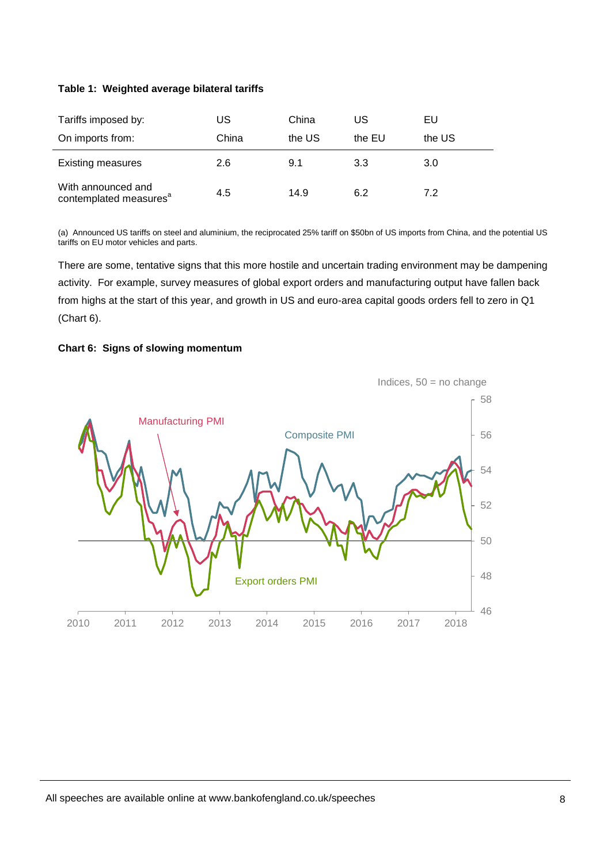## **Table 1: Weighted average bilateral tariffs**

| Tariffs imposed by:                                      | US    | China  | US     | EU     |
|----------------------------------------------------------|-------|--------|--------|--------|
| On imports from:                                         | China | the US | the EU | the US |
| <b>Existing measures</b>                                 | 2.6   | 9.1    | 3.3    | 3.0    |
| With announced and<br>contemplated measures <sup>a</sup> | 4.5   | 14.9   | 6.2    | 7.2    |

(a) Announced US tariffs on steel and aluminium, the reciprocated 25% tariff on \$50bn of US imports from China, and the potential US tariffs on EU motor vehicles and parts.

There are some, tentative signs that this more hostile and uncertain trading environment may be dampening activity. For example, survey measures of global export orders and manufacturing output have fallen back from highs at the start of this year, and growth in US and euro-area capital goods orders fell to zero in Q1 (Chart 6).



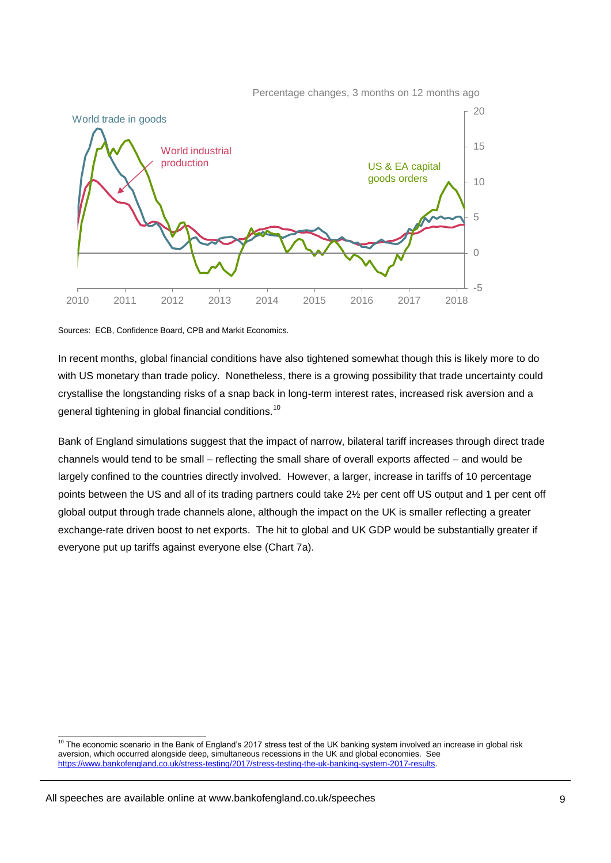Percentage changes, 3 months on 12 months ago



Sources: ECB, Confidence Board, CPB and Markit Economics.

In recent months, global financial conditions have also tightened somewhat though this is likely more to do with US monetary than trade policy. Nonetheless, there is a growing possibility that trade uncertainty could crystallise the longstanding risks of a snap back in long-term interest rates, increased risk aversion and a general tightening in global financial conditions.<sup>10</sup>

Bank of England simulations suggest that the impact of narrow, bilateral tariff increases through direct trade channels would tend to be small – reflecting the small share of overall exports affected – and would be largely confined to the countries directly involved. However, a larger, increase in tariffs of 10 percentage points between the US and all of its trading partners could take 2½ per cent off US output and 1 per cent off global output through trade channels alone, although the impact on the UK is smaller reflecting a greater exchange-rate driven boost to net exports. The hit to global and UK GDP would be substantially greater if everyone put up tariffs against everyone else (Chart 7a).

 $\frac{1}{10}$  The economic scenario in the Bank of England's 2017 stress test of the UK banking system involved an increase in global risk aversion, which occurred alongside deep, simultaneous recessions in the UK and global economies. See [https://www.bankofengland.co.uk/stress-testing/2017/stress-testing-the-uk-banking-system-2017-results.](https://www.bankofengland.co.uk/stress-testing/2017/stress-testing-the-uk-banking-system-2017-results)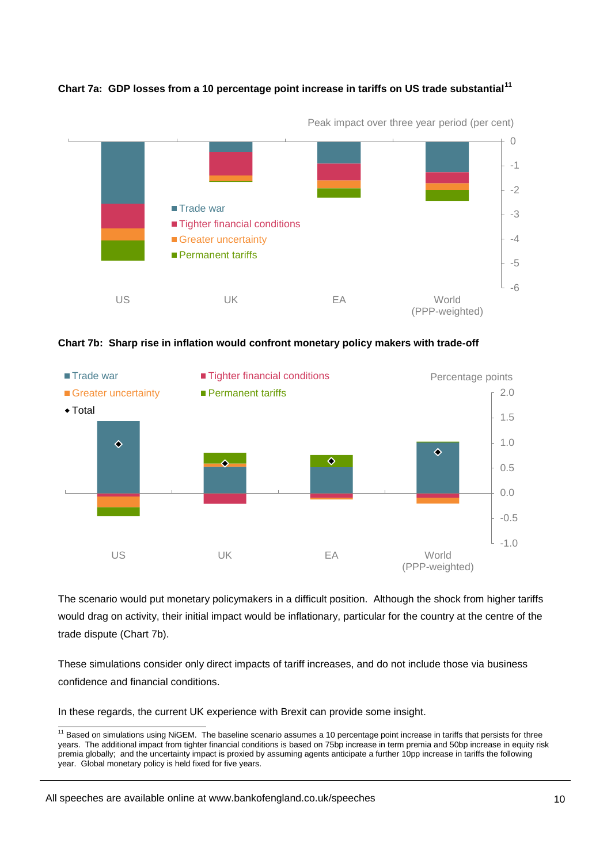

**Chart 7a: GDP losses from a 10 percentage point increase in tariffs on US trade substantial<sup>11</sup>**





The scenario would put monetary policymakers in a difficult position. Although the shock from higher tariffs would drag on activity, their initial impact would be inflationary, particular for the country at the centre of the trade dispute (Chart 7b).

These simulations consider only direct impacts of tariff increases, and do not include those via business confidence and financial conditions.

In these regards, the current UK experience with Brexit can provide some insight.

 <sup>11</sup> Based on simulations using NiGEM. The baseline scenario assumes a 10 percentage point increase in tariffs that persists for three years. The additional impact from tighter financial conditions is based on 75bp increase in term premia and 50bp increase in equity risk premia globally; and the uncertainty impact is proxied by assuming agents anticipate a further 10pp increase in tariffs the following year. Global monetary policy is held fixed for five years.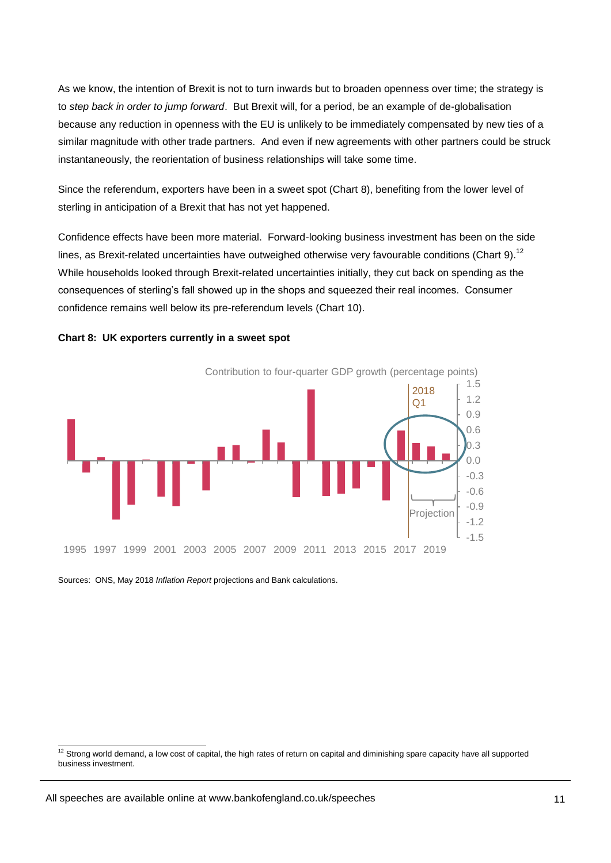As we know, the intention of Brexit is not to turn inwards but to broaden openness over time; the strategy is to *step back in order to jump forward*. But Brexit will, for a period, be an example of de-globalisation because any reduction in openness with the EU is unlikely to be immediately compensated by new ties of a similar magnitude with other trade partners. And even if new agreements with other partners could be struck instantaneously, the reorientation of business relationships will take some time.

Since the referendum, exporters have been in a sweet spot (Chart 8), benefiting from the lower level of sterling in anticipation of a Brexit that has not yet happened.

Confidence effects have been more material. Forward-looking business investment has been on the side lines, as Brexit-related uncertainties have outweighed otherwise very favourable conditions (Chart 9).<sup>12</sup> While households looked through Brexit-related uncertainties initially, they cut back on spending as the consequences of sterling's fall showed up in the shops and squeezed their real incomes. Consumer confidence remains well below its pre-referendum levels (Chart 10).





Sources: ONS, May 2018 *Inflation Report* projections and Bank calculations.

 $\frac{12}{12}$  Strong world demand, a low cost of capital, the high rates of return on capital and diminishing spare capacity have all supported business investment.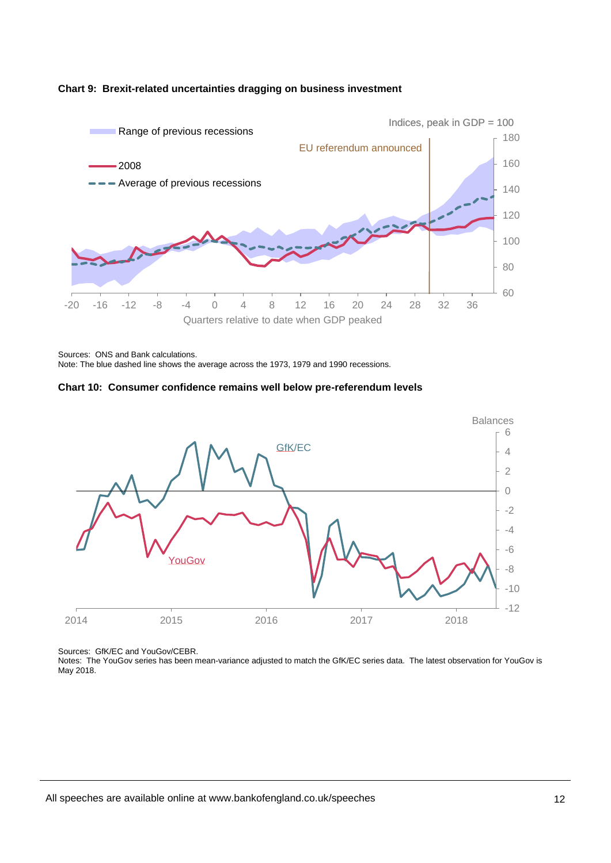

#### **Chart 9: Brexit-related uncertainties dragging on business investment**

Note: The blue dashed line shows the average across the 1973, 1979 and 1990 recessions.





Sources: GfK/EC and YouGov/CEBR.

Notes: The YouGov series has been mean-variance adjusted to match the GfK/EC series data. The latest observation for YouGov is May 2018.

Sources: ONS and Bank calculations.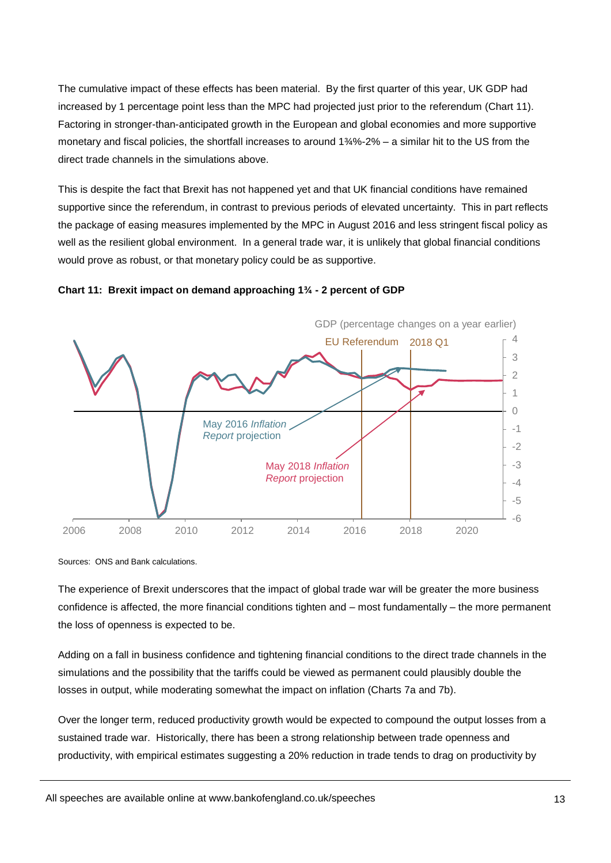The cumulative impact of these effects has been material. By the first quarter of this year, UK GDP had increased by 1 percentage point less than the MPC had projected just prior to the referendum (Chart 11). Factoring in stronger-than-anticipated growth in the European and global economies and more supportive monetary and fiscal policies, the shortfall increases to around 1¾%-2% – a similar hit to the US from the direct trade channels in the simulations above.

This is despite the fact that Brexit has not happened yet and that UK financial conditions have remained supportive since the referendum, in contrast to previous periods of elevated uncertainty. This in part reflects the package of easing measures implemented by the MPC in August 2016 and less stringent fiscal policy as well as the resilient global environment. In a general trade war, it is unlikely that global financial conditions would prove as robust, or that monetary policy could be as supportive.



**Chart 11: Brexit impact on demand approaching 1¾ - 2 percent of GDP**

Sources: ONS and Bank calculations.

The experience of Brexit underscores that the impact of global trade war will be greater the more business confidence is affected, the more financial conditions tighten and – most fundamentally – the more permanent the loss of openness is expected to be.

Adding on a fall in business confidence and tightening financial conditions to the direct trade channels in the simulations and the possibility that the tariffs could be viewed as permanent could plausibly double the losses in output, while moderating somewhat the impact on inflation (Charts 7a and 7b).

Over the longer term, reduced productivity growth would be expected to compound the output losses from a sustained trade war. Historically, there has been a strong relationship between trade openness and productivity, with empirical estimates suggesting a 20% reduction in trade tends to drag on productivity by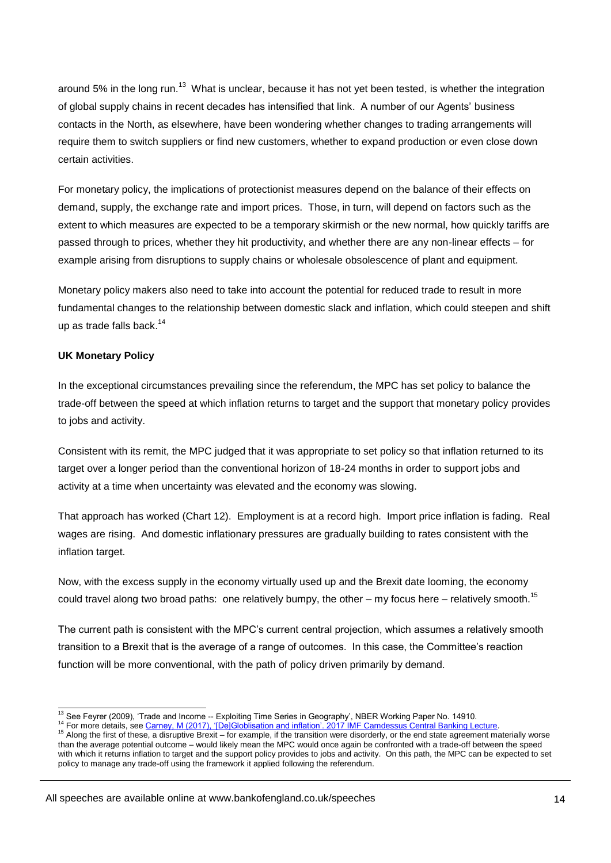around 5% in the long run.<sup>13</sup> What is unclear, because it has not yet been tested, is whether the integration of global supply chains in recent decades has intensified that link. A number of our Agents' business contacts in the North, as elsewhere, have been wondering whether changes to trading arrangements will require them to switch suppliers or find new customers, whether to expand production or even close down certain activities.

For monetary policy, the implications of protectionist measures depend on the balance of their effects on demand, supply, the exchange rate and import prices. Those, in turn, will depend on factors such as the extent to which measures are expected to be a temporary skirmish or the new normal, how quickly tariffs are passed through to prices, whether they hit productivity, and whether there are any non-linear effects – for example arising from disruptions to supply chains or wholesale obsolescence of plant and equipment.

Monetary policy makers also need to take into account the potential for reduced trade to result in more fundamental changes to the relationship between domestic slack and inflation, which could steepen and shift up as trade falls back. $14$ 

# **UK Monetary Policy**

In the exceptional circumstances prevailing since the referendum, the MPC has set policy to balance the trade-off between the speed at which inflation returns to target and the support that monetary policy provides to jobs and activity.

Consistent with its remit, the MPC judged that it was appropriate to set policy so that inflation returned to its target over a longer period than the conventional horizon of 18-24 months in order to support jobs and activity at a time when uncertainty was elevated and the economy was slowing.

That approach has worked (Chart 12). Employment is at a record high. Import price inflation is fading. Real wages are rising. And domestic inflationary pressures are gradually building to rates consistent with the inflation target.

Now, with the excess supply in the economy virtually used up and the Brexit date looming, the economy could travel along two broad paths: one relatively bumpy, the other – my focus here – relatively smooth.<sup>15</sup>

The current path is consistent with the MPC's current central projection, which assumes a relatively smooth transition to a Brexit that is the average of a range of outcomes. In this case, the Committee's reaction function will be more conventional, with the path of policy driven primarily by demand.

 $\frac{1}{13}$  See Feyrer (2009), 'Trade and Income -- Exploiting Time Series in Geography', NBER Working Paper No. 14910.

<sup>14</sup> For more details, see [Carney, M \(2017\), '\[De\]Globlisation and inflation'. 2017 IMF Camdessus Central Banking Lecture.](https://www.bankofengland.co.uk/-/media/boe/files/speech/2017/de-globalisation-and-inflation)

<sup>&</sup>lt;sup>15</sup> Along the first of these, a disruptive Brexit – for example, if the transition were disorderly, or the end state agreement materially worse than the average potential outcome – would likely mean the MPC would once again be confronted with a trade-off between the speed with which it returns inflation to target and the support policy provides to jobs and activity. On this path, the MPC can be expected to set policy to manage any trade-off using the framework it applied following the referendum.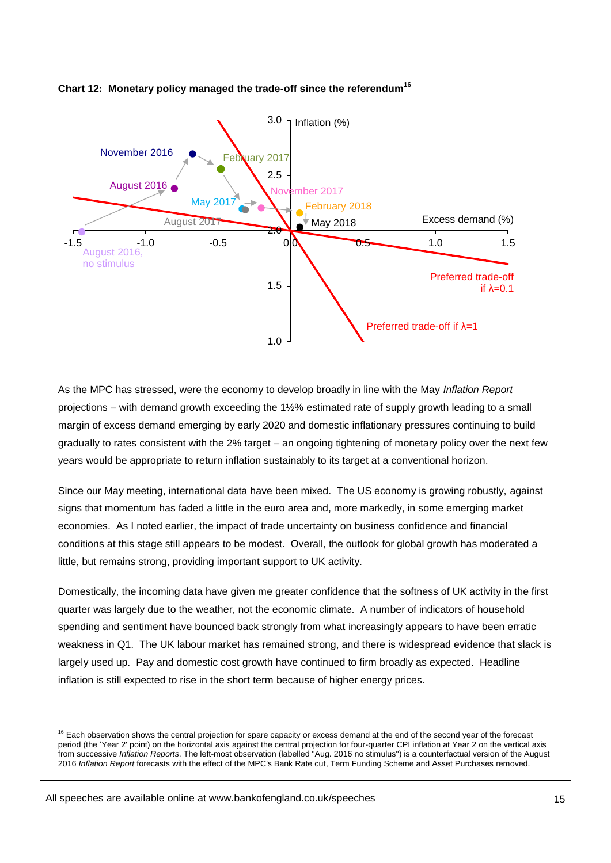

# **Chart 12: Monetary policy managed the trade-off since the referendum<sup>16</sup>**

As the MPC has stressed, were the economy to develop broadly in line with the May *Inflation Report*  projections – with demand growth exceeding the 1½% estimated rate of supply growth leading to a small margin of excess demand emerging by early 2020 and domestic inflationary pressures continuing to build gradually to rates consistent with the 2% target – an ongoing tightening of monetary policy over the next few years would be appropriate to return inflation sustainably to its target at a conventional horizon.

Since our May meeting, international data have been mixed. The US economy is growing robustly, against signs that momentum has faded a little in the euro area and, more markedly, in some emerging market economies. As I noted earlier, the impact of trade uncertainty on business confidence and financial conditions at this stage still appears to be modest. Overall, the outlook for global growth has moderated a little, but remains strong, providing important support to UK activity.

Domestically, the incoming data have given me greater confidence that the softness of UK activity in the first quarter was largely due to the weather, not the economic climate. A number of indicators of household spending and sentiment have bounced back strongly from what increasingly appears to have been erratic weakness in Q1. The UK labour market has remained strong, and there is widespread evidence that slack is largely used up. Pay and domestic cost growth have continued to firm broadly as expected. Headline inflation is still expected to rise in the short term because of higher energy prices.

 $\frac{1}{16}$  Each observation shows the central projection for spare capacity or excess demand at the end of the second year of the forecast period (the 'Year 2' point) on the horizontal axis against the central projection for four-quarter CPI inflation at Year 2 on the vertical axis from successive *Inflation Reports*. The left-most observation (labelled "Aug. 2016 no stimulus") is a counterfactual version of the August 2016 *Inflation Report* forecasts with the effect of the MPC's Bank Rate cut, Term Funding Scheme and Asset Purchases removed.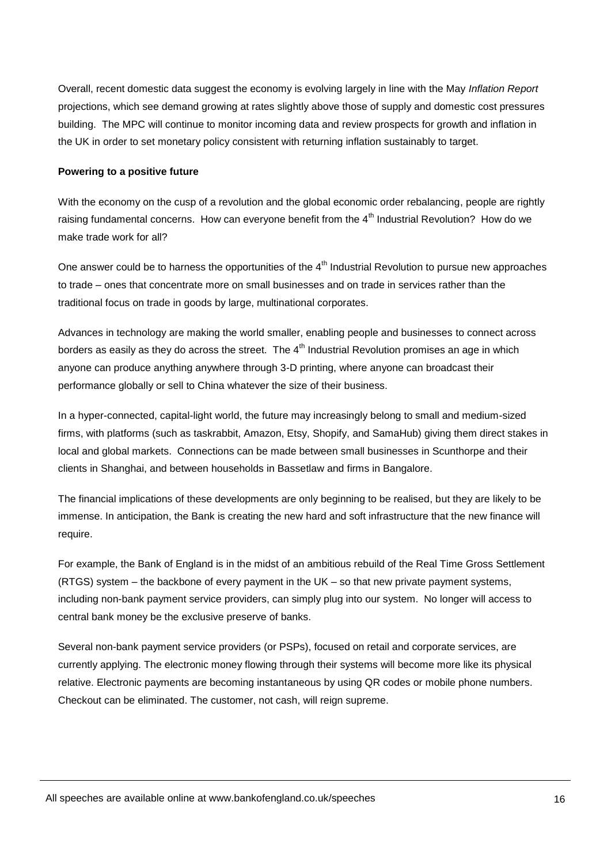Overall, recent domestic data suggest the economy is evolving largely in line with the May *Inflation Report* projections, which see demand growing at rates slightly above those of supply and domestic cost pressures building. The MPC will continue to monitor incoming data and review prospects for growth and inflation in the UK in order to set monetary policy consistent with returning inflation sustainably to target.

#### **Powering to a positive future**

With the economy on the cusp of a revolution and the global economic order rebalancing, people are rightly raising fundamental concerns. How can everyone benefit from the 4<sup>th</sup> Industrial Revolution? How do we make trade work for all?

One answer could be to harness the opportunities of the 4<sup>th</sup> Industrial Revolution to pursue new approaches to trade – ones that concentrate more on small businesses and on trade in services rather than the traditional focus on trade in goods by large, multinational corporates.

Advances in technology are making the world smaller, enabling people and businesses to connect across borders as easily as they do across the street. The  $4<sup>th</sup>$  Industrial Revolution promises an age in which anyone can produce anything anywhere through 3-D printing, where anyone can broadcast their performance globally or sell to China whatever the size of their business.

In a hyper-connected, capital-light world, the future may increasingly belong to small and medium-sized firms, with platforms (such as taskrabbit, Amazon, Etsy, Shopify, and SamaHub) giving them direct stakes in local and global markets. Connections can be made between small businesses in Scunthorpe and their clients in Shanghai, and between households in Bassetlaw and firms in Bangalore.

The financial implications of these developments are only beginning to be realised, but they are likely to be immense. In anticipation, the Bank is creating the new hard and soft infrastructure that the new finance will require.

For example, the Bank of England is in the midst of an ambitious rebuild of the Real Time Gross Settlement (RTGS) system – the backbone of every payment in the UK – so that new private payment systems, including non-bank payment service providers, can simply plug into our system. No longer will access to central bank money be the exclusive preserve of banks.

Several non-bank payment service providers (or PSPs), focused on retail and corporate services, are currently applying. The electronic money flowing through their systems will become more like its physical relative. Electronic payments are becoming instantaneous by using QR codes or mobile phone numbers. Checkout can be eliminated. The customer, not cash, will reign supreme.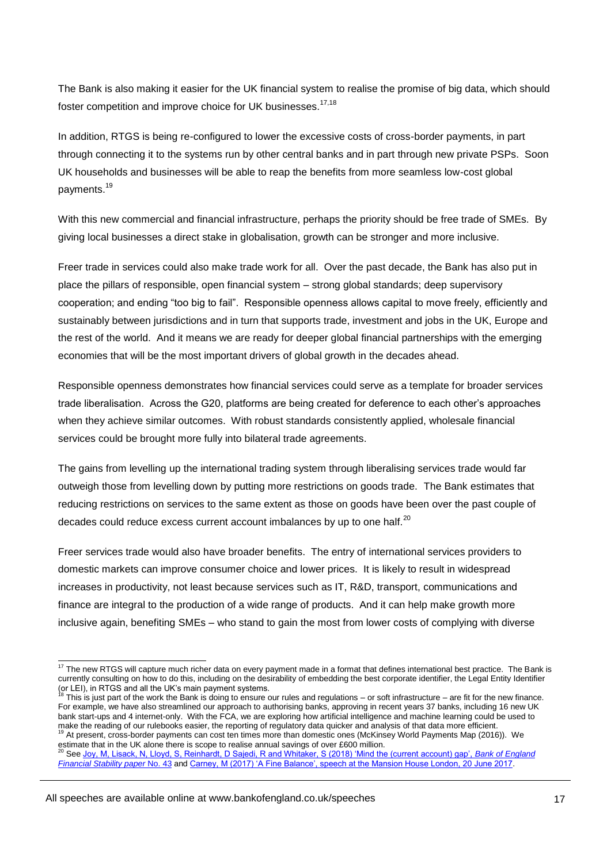The Bank is also making it easier for the UK financial system to realise the promise of big data, which should foster competition and improve choice for UK businesses.<sup>17,18</sup>

In addition, RTGS is being re-configured to lower the excessive costs of cross-border payments, in part through connecting it to the systems run by other central banks and in part through new private PSPs. Soon UK households and businesses will be able to reap the benefits from more seamless low-cost global payments.<sup>19</sup>

With this new commercial and financial infrastructure, perhaps the priority should be free trade of SMEs. By giving local businesses a direct stake in globalisation, growth can be stronger and more inclusive.

Freer trade in services could also make trade work for all. Over the past decade, the Bank has also put in place the pillars of responsible, open financial system – strong global standards; deep supervisory cooperation; and ending "too big to fail". Responsible openness allows capital to move freely, efficiently and sustainably between jurisdictions and in turn that supports trade, investment and jobs in the UK, Europe and the rest of the world. And it means we are ready for deeper global financial partnerships with the emerging economies that will be the most important drivers of global growth in the decades ahead.

Responsible openness demonstrates how financial services could serve as a template for broader services trade liberalisation. Across the G20, platforms are being created for deference to each other's approaches when they achieve similar outcomes. With robust standards consistently applied, wholesale financial services could be brought more fully into bilateral trade agreements.

The gains from levelling up the international trading system through liberalising services trade would far outweigh those from levelling down by putting more restrictions on goods trade. The Bank estimates that reducing restrictions on services to the same extent as those on goods have been over the past couple of decades could reduce excess current account imbalances by up to one half. $^{20}$ 

Freer services trade would also have broader benefits. The entry of international services providers to domestic markets can improve consumer choice and lower prices. It is likely to result in widespread increases in productivity, not least because services such as IT, R&D, transport, communications and finance are integral to the production of a wide range of products. And it can help make growth more inclusive again, benefiting SMEs – who stand to gain the most from lower costs of complying with diverse

estimate that in the UK alone there is scope to realise annual savings of over £600 million.<br><sup>20</sup> See, level alone the UK alone there is scope to realise annual savings of over £600 million. <sup>2</sup> See [Joy, M, Lisack, N, Lloyd, S, Reinhardt, D Sajedi, R and Whitaker, S \(2018\) 'Mind the \(current account\) gap',](https://www.bankofengland.co.uk/-/media/boe/files/financial-stability-paper/2018/mind-the-current-account-gap) *Bank of England [Financial Stability](https://www.bankofengland.co.uk/-/media/boe/files/financial-stability-paper/2018/mind-the-current-account-gap) paper* No. 43 and [Carney, M \(2017\) 'A Fine Balance', speech at the Mansion House London, 20 June 2017.](https://www.bankofengland.co.uk/-/media/boe/files/speech/2017/a-fine-balance.pdf?la=en&hash=7287F64BF073930762214C8F63723376310EF806)

 $\frac{1}{17}$  The new RTGS will capture much richer data on every payment made in a format that defines international best practice. The Bank is currently consulting on how to do this, including on the desirability of embedding the best corporate identifier, the Legal Entity Identifier (or LEI), in RTGS and all the UK's main payment systems.<br><sup>18</sup> This is just part of the work the Bank is doing to ensure our rules and regulations – or soft infrastructure – are fit for the new finance.

For example, we have also streamlined our approach to authorising banks, approving in recent years 37 banks, including 16 new UK bank start-ups and 4 internet-only. With the FCA, we are exploring how artificial intelligence and machine learning could be used to make the reading of our rulebooks easier, the reporting of regulatory data quicker and analysis of that data more efficient. 19 At present, cross-border payments can cost ten times more than domestic ones (McKinsey World Payments Map (2016)). We